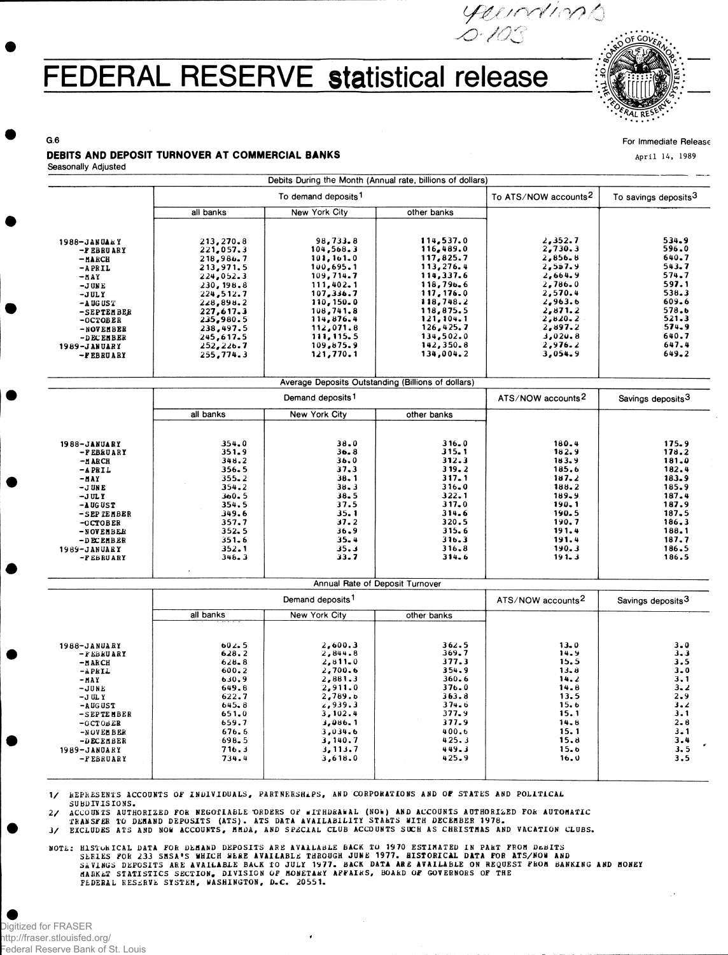## FEDERAL RESERVE statistical release



*r j f ; yO/^*

For Immediate Release

April 14, 1989

## DEBITS AND DEPOSIT TURNOVER AT COMMERCIAL BANKS

Seasonally Adjusted

G.6

|                                                                                                                                                                                      |                                                                                                                                                                                      | To demand deposits <sup>1</sup>                                                                                                                                                         | To ATS/NOW accounts <sup>2</sup>                                                                                                                                                        | To savings deposits <sup>3</sup>                                                                                                                       |                                                                                                                            |
|--------------------------------------------------------------------------------------------------------------------------------------------------------------------------------------|--------------------------------------------------------------------------------------------------------------------------------------------------------------------------------------|-----------------------------------------------------------------------------------------------------------------------------------------------------------------------------------------|-----------------------------------------------------------------------------------------------------------------------------------------------------------------------------------------|--------------------------------------------------------------------------------------------------------------------------------------------------------|----------------------------------------------------------------------------------------------------------------------------|
|                                                                                                                                                                                      | all banks                                                                                                                                                                            | New York City                                                                                                                                                                           | other banks                                                                                                                                                                             |                                                                                                                                                        |                                                                                                                            |
| 1988-JANUALY<br>-FEBRUARY<br>$-MARCH$<br>$-A$ PRIL<br>$-MAY$<br>$-J$ UNE<br>$-JULY$<br>-A UG US T<br>-SEPTEMBER<br>$-0CTOBER$<br>-NOVEMBER<br>-DECEMBER<br>1989-JANUARY<br>-PEBRUARY | 213,270.8<br>221,057,3<br>218,986.7<br>213,971.5<br>224,052.3<br>230, 198.8<br>224,512.7<br>228,898.2<br>227,617.3<br>235,980.5<br>238,497.5<br>245,617.5<br>252, 226.7<br>255,774.3 | 98,733.8<br>104, 568.3<br>101,161.0<br>100,695.1<br>109,714.7<br>111,402.1<br>107,336.7<br>110, 150.0<br>108, 741, 8<br>114,876.4<br>112,071.8<br>111, 115, 5<br>109,875.9<br>121,770.1 | 114,537.0<br>116,489.0<br>117,825.7<br>113, 276, 4<br>114,337.6<br>118,796.6<br>117, 176.0<br>118,748.2<br>118,875.5<br>121, 104.1<br>126,425.7<br>134,502.0<br>142, 350.8<br>134,004.2 | 2,352.7<br>2,730.3<br>2,856.8<br>2,557.9<br>2,664.9<br>2,786.0<br>2,570.4<br>2,963.6<br>2,871.2<br>2,820.2<br>2,897.2<br>3,020.8<br>2,976.2<br>3,054.9 | 534.9<br>596.0<br>640.7<br>543.7<br>574.7<br>597.1<br>538.3<br>609.6<br>578.6<br>521.3<br>574.9<br>640.7<br>647.4<br>649.2 |
|                                                                                                                                                                                      |                                                                                                                                                                                      | Average Deposits Outstanding (Billions of dollars)                                                                                                                                      |                                                                                                                                                                                         |                                                                                                                                                        |                                                                                                                            |

|                                                                                                                        | Demand deposits <sup>1</sup>                                                          |                                                                              |                                                                                   | ATS/NOW accounts <sup>2</sup>                                                     | Savings deposits <sup>3</sup>                                                 |
|------------------------------------------------------------------------------------------------------------------------|---------------------------------------------------------------------------------------|------------------------------------------------------------------------------|-----------------------------------------------------------------------------------|-----------------------------------------------------------------------------------|-------------------------------------------------------------------------------|
|                                                                                                                        | all banks                                                                             | New York City                                                                | other banks                                                                       |                                                                                   |                                                                               |
| 1988-JANUARY<br>-FEBRUARY<br>-A ARCH<br>$-APRIL$<br>$-MAY$                                                             | 354.0<br>351.9<br>348.2<br>356.5<br>$355 - 2$                                         | 38.0<br>36.8<br>36.0<br>37.3<br>38.1                                         | 316.0<br>315.1<br>312.3<br>319.2<br>317.1                                         | 180.4<br>182.9<br>183.9<br>185.6<br>187.2                                         | 175.9<br>178.2<br>181.0<br>182.4<br>183.9                                     |
| $-J$ UNE<br>$-JULY$<br>$-A$ UG UST<br>-SEPTEMBER<br>$-0$ CTOBER<br>-NOVEMBER<br>-DECEMBER<br>1989-JANUARY<br>-FEBRUARY | $354 - 2$<br>360.5<br>354.5<br>349.6<br>357.7<br>352.5<br>$351 - 6$<br>352.1<br>348.3 | 38.3<br>$38 - 5$<br>37.5<br>35.1<br>37.2<br>36.9<br>$35 - 4$<br>35.3<br>33.7 | $316 - 0$<br>322.1<br>317.0<br>314.6<br>320.5<br>315.6<br>316.3<br>316.8<br>314.6 | 188.2<br>189.9<br>190.1<br>190.5<br>190.7<br>191.4<br>191.4<br>190.3<br>$191 - 3$ | 185.9<br>187.4<br>187.9<br>187.5<br>186.3<br>188.1<br>187.7<br>186.5<br>186.5 |
|                                                                                                                        |                                                                                       |                                                                              |                                                                                   |                                                                                   |                                                                               |

|                           |                    | Annual Rate of Deposit Turnover |                               |                               |                    |
|---------------------------|--------------------|---------------------------------|-------------------------------|-------------------------------|--------------------|
|                           |                    | Demand deposits <sup>1</sup>    | ATS/NOW accounts <sup>2</sup> | Savings deposits <sup>3</sup> |                    |
|                           | all banks          | New York City                   | other banks                   |                               |                    |
| 1988-JANUARY              | 602.5              | 2,600.3                         | 362.5                         | 13.0                          | $3 - 0$            |
| -FEBRUARY<br>$-MAKCH$     | 628.2<br>$628 - 8$ | 2,844.8<br>2,811.0              | 369.7<br>377.3                | 14.9<br>15.5                  | $3 - 3$<br>3.5     |
| -APRIL<br>$-MAY$          | 600.2<br>630.9     | 2,700.6<br>2,881.3              | 354.9<br>360.6                | 13.8<br>14.2                  | $3 - 0$<br>3.1     |
| $-JUNE$                   | 649.8              | 2,911.0                         | 376.0<br>363.8                | 14.8                          | $3 - 2$            |
| $-J$ UL Y<br>$-$ A UG UST | 622.7<br>645.8     | 2,789.6<br>2,939.3              | 374.6                         | 13.5<br>15.6                  | $2 - 9$<br>$3 - 2$ |
| -SEPTEMBER<br>$-0CT0BER$  | 651,0<br>659.7     | 3,102.4<br>3,086.1              | 377.9<br>377.9                | 15.1<br>14.8                  | 3.1<br>$2 - 8$     |
| -NOVEMBER                 | 676.6              | 3.034.6                         | 400.6                         | 15.1                          | $3 - 1$            |
|                           |                    |                                 |                               |                               | 3.4<br>3.5         |
| -FEBRUARY                 | 734.4              | 3,618.0                         | 425.9                         | 16.0                          | 3.5                |
| -DECEMBER<br>1989-JANUARY | 698.5<br>716.3     | 3,140.7<br>3, 113, 7            | 425.3<br>449.3                | 15.8<br>15.6                  |                    |

1/ REPRESENTS ACCOUNTS OF INDIVIDUALS, PARTNERSHIPS, AND CORPORATIONS AND OF STATES AND POLITICAL SUBDIVISIONS.

2/ ACCOUNTS AUTHORIZED FOR NEGOTIABLE ORDERS OF WITHDRAWAL (NOW) AND ACCOUNTS AUTHORIZED FOR AUTOMATIC<br>TRANSFER TO DEMAND DEPOSITS (ATS). ATS DATA AVAILABILITY STANTS WITH DECEMBER 1978.<br>3/ EXCLUDES ATS AND NOW ACCOUNTS, M

NOTE: HISTORICAL DATA FOR DEMAND DEPOSITS ARE AVAILABLE BACK TO 1970 ESTIMATED IN PART FROM DEBITS<br>SERIES FOR 233 SMSA'S WHICH WERE AVAILABLE THROUGH JUNE 1977. HISTORICAL DATA FOR ATS/NOW AND<br>SAVINGS DEPOSITS ARE AVAILABL